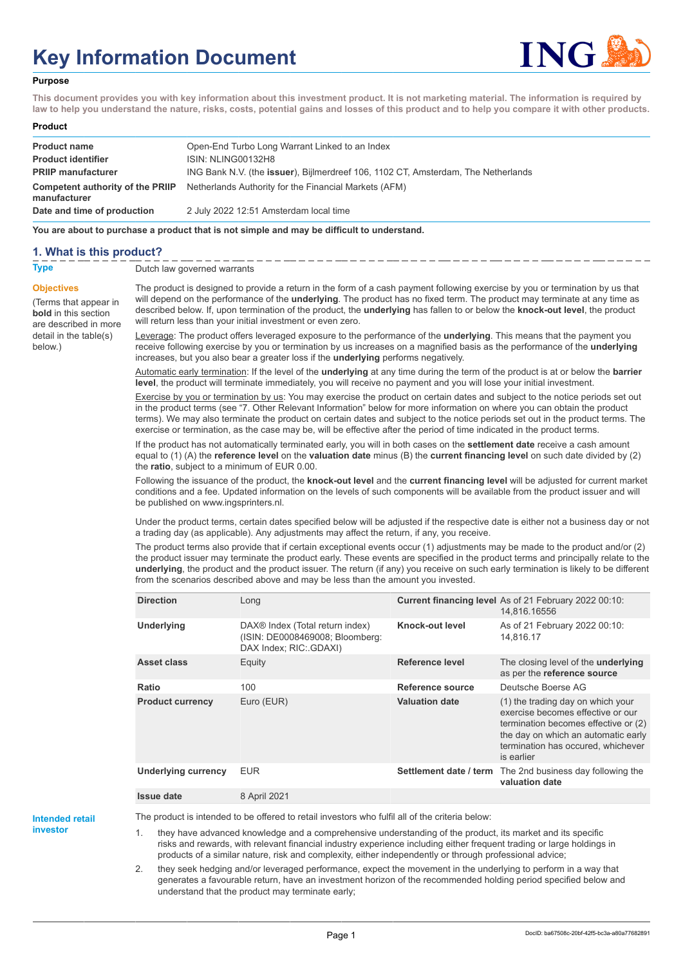# **Key Information Document**



#### **Purpose**

**This document provides you with key information about this investment product. It is not marketing material. The information is required by law to help you understand the nature, risks, costs, potential gains and losses of this product and to help you compare it with other products.**

#### **Product**

| <b>Product name</b>                              | Open-End Turbo Long Warrant Linked to an Index                                            |
|--------------------------------------------------|-------------------------------------------------------------------------------------------|
| <b>Product identifier</b>                        | ISIN: NLING00132H8                                                                        |
| <b>PRIIP manufacturer</b>                        | ING Bank N.V. (the <b>issuer</b> ), Bijlmerdreef 106, 1102 CT, Amsterdam, The Netherlands |
| Competent authority of the PRIIP<br>manufacturer | Netherlands Authority for the Financial Markets (AFM)                                     |
| Date and time of production                      | 2 July 2022 12:51 Amsterdam local time                                                    |

**You are about to purchase a product that is not simple and may be difficult to understand.**

## **1. What is this product?**

**Objectives**

below.)

**bold** in this section

detail in the table(s)

#### **Type** Dutch law governed warrants

(Terms that appear in are described in more The product is designed to provide a return in the form of a cash payment following exercise by you or termination by us that will depend on the performance of the **underlying**. The product has no fixed term. The product may terminate at any time as described below. If, upon termination of the product, the **underlying** has fallen to or below the **knock-out level**, the product will return less than your initial investment or even zero.

Leverage: The product offers leveraged exposure to the performance of the **underlying**. This means that the payment you receive following exercise by you or termination by us increases on a magnified basis as the performance of the **underlying** increases, but you also bear a greater loss if the **underlying** performs negatively.

Automatic early termination: If the level of the **underlying** at any time during the term of the product is at or below the **barrier level**, the product will terminate immediately, you will receive no payment and you will lose your initial investment.

Exercise by you or termination by us: You may exercise the product on certain dates and subject to the notice periods set out in the product terms (see "7. Other Relevant Information" below for more information on where you can obtain the product terms). We may also terminate the product on certain dates and subject to the notice periods set out in the product terms. The exercise or termination, as the case may be, will be effective after the period of time indicated in the product terms.

If the product has not automatically terminated early, you will in both cases on the **settlement date** receive a cash amount equal to (1) (A) the **reference level** on the **valuation date** minus (B) the **current financing level** on such date divided by (2) the **ratio**, subject to a minimum of EUR 0.00.

Following the issuance of the product, the **knock-out level** and the **current financing level** will be adjusted for current market conditions and a fee. Updated information on the levels of such components will be available from the product issuer and will be published on www.ingsprinters.nl.

Under the product terms, certain dates specified below will be adjusted if the respective date is either not a business day or not a trading day (as applicable). Any adjustments may affect the return, if any, you receive.

The product terms also provide that if certain exceptional events occur (1) adjustments may be made to the product and/or (2) the product issuer may terminate the product early. These events are specified in the product terms and principally relate to the **underlying**, the product and the product issuer. The return (if any) you receive on such early termination is likely to be different from the scenarios described above and may be less than the amount you invested.

| <b>Direction</b>           | Long                                                                                         |                        | Current financing level As of 21 February 2022 00:10:<br>14,816.16556                                                                                                                                     |
|----------------------------|----------------------------------------------------------------------------------------------|------------------------|-----------------------------------------------------------------------------------------------------------------------------------------------------------------------------------------------------------|
| <b>Underlying</b>          | DAX® Index (Total return index)<br>(ISIN: DE0008469008; Bloomberg:<br>DAX Index; RIC: GDAXI) | Knock-out level        | As of 21 February 2022 00:10:<br>14.816.17                                                                                                                                                                |
| Asset class                | Equity                                                                                       | Reference level        | The closing level of the <b>underlying</b><br>as per the reference source                                                                                                                                 |
| Ratio                      | 100                                                                                          | Reference source       | Deutsche Boerse AG                                                                                                                                                                                        |
| <b>Product currency</b>    | Euro (EUR)                                                                                   | <b>Valuation date</b>  | (1) the trading day on which your<br>exercise becomes effective or our<br>termination becomes effective or (2)<br>the day on which an automatic early<br>termination has occured, whichever<br>is earlier |
| <b>Underlying currency</b> | <b>EUR</b>                                                                                   | Settlement date / term | The 2nd business day following the<br>valuation date                                                                                                                                                      |
| <b>Issue date</b>          | 8 April 2021                                                                                 |                        |                                                                                                                                                                                                           |

**Intended retail investor**

The product is intended to be offered to retail investors who fulfil all of the criteria below:

1. they have advanced knowledge and a comprehensive understanding of the product, its market and its specific risks and rewards, with relevant financial industry experience including either frequent trading or large holdings in products of a similar nature, risk and complexity, either independently or through professional advice;

2. they seek hedging and/or leveraged performance, expect the movement in the underlying to perform in a way that generates a favourable return, have an investment horizon of the recommended holding period specified below and understand that the product may terminate early;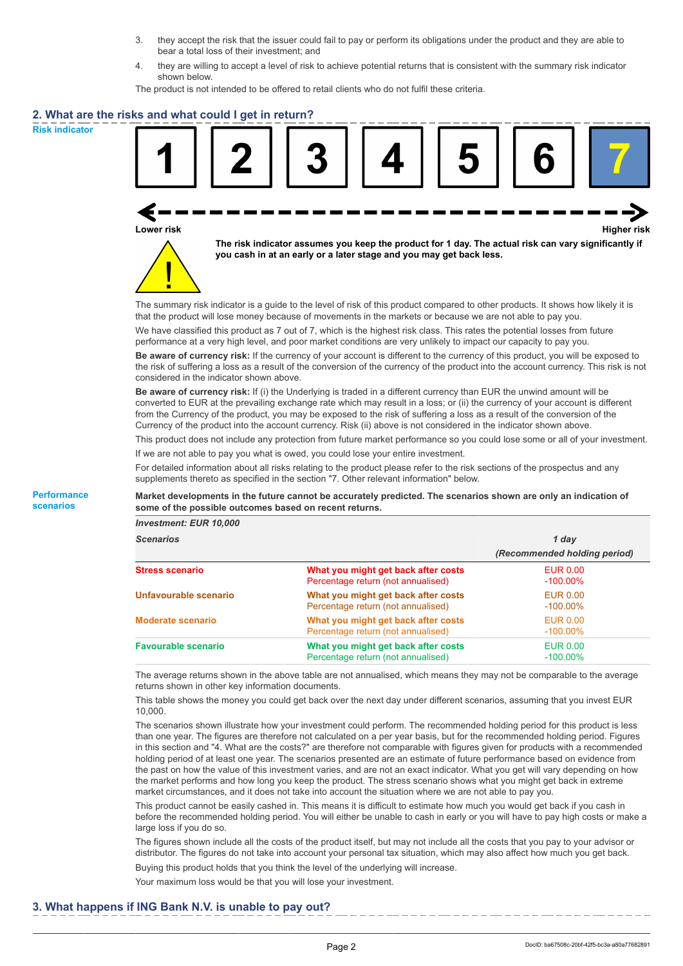- 3. they accept the risk that the issuer could fail to pay or perform its obligations under the product and they are able to bear a total loss of their investment; and
- 4. they are willing to accept a level of risk to achieve potential returns that is consistent with the summary risk indicator shown below.

The product is not intended to be offered to retail clients who do not fulfil these criteria.

## **2. What are the risks and what could I get in return?**

**Risk indicator**

**Performance scenarios**



**Lower risk Higher risk**



**The risk indicator assumes you keep the product for 1 day. The actual risk can vary significantly if you cash in at an early or a later stage and you may get back less.**

The summary risk indicator is a guide to the level of risk of this product compared to other products. It shows how likely it is that the product will lose money because of movements in the markets or because we are not able to pay you.

We have classified this product as 7 out of 7, which is the highest risk class. This rates the potential losses from future performance at a very high level, and poor market conditions are very unlikely to impact our capacity to pay you.

**Be aware of currency risk:** If the currency of your account is different to the currency of this product, you will be exposed to the risk of suffering a loss as a result of the conversion of the currency of the product into the account currency. This risk is not considered in the indicator shown above.

**Be aware of currency risk:** If (i) the Underlying is traded in a different currency than EUR the unwind amount will be converted to EUR at the prevailing exchange rate which may result in a loss; or (ii) the currency of your account is different from the Currency of the product, you may be exposed to the risk of suffering a loss as a result of the conversion of the Currency of the product into the account currency. Risk (ii) above is not considered in the indicator shown above.

This product does not include any protection from future market performance so you could lose some or all of your investment. If we are not able to pay you what is owed, you could lose your entire investment.

For detailed information about all risks relating to the product please refer to the risk sections of the prospectus and any supplements thereto as specified in the section "7. Other relevant information" below.

**Market developments in the future cannot be accurately predicted. The scenarios shown are only an indication of some of the possible outcomes based on recent returns.**

*Investment: EUR 10,000*

| <b>Scenarios</b>           |                                                                           | 1 day                          |  |
|----------------------------|---------------------------------------------------------------------------|--------------------------------|--|
|                            |                                                                           | (Recommended holding period)   |  |
| <b>Stress scenario</b>     | What you might get back after costs<br>Percentage return (not annualised) | <b>EUR 0.00</b><br>$-100.00\%$ |  |
| Unfavourable scenario      | What you might get back after costs<br>Percentage return (not annualised) | EUR 0.00<br>$-100.00\%$        |  |
| <b>Moderate scenario</b>   | What you might get back after costs<br>Percentage return (not annualised) | <b>EUR 0.00</b><br>$-100.00\%$ |  |
| <b>Favourable scenario</b> | What you might get back after costs<br>Percentage return (not annualised) | <b>EUR 0.00</b><br>$-100.00\%$ |  |

The average returns shown in the above table are not annualised, which means they may not be comparable to the average returns shown in other key information documents.

This table shows the money you could get back over the next day under different scenarios, assuming that you invest EUR 10,000.

The scenarios shown illustrate how your investment could perform. The recommended holding period for this product is less than one year. The figures are therefore not calculated on a per year basis, but for the recommended holding period. Figures in this section and "4. What are the costs?" are therefore not comparable with figures given for products with a recommended holding period of at least one year. The scenarios presented are an estimate of future performance based on evidence from the past on how the value of this investment varies, and are not an exact indicator. What you get will vary depending on how the market performs and how long you keep the product. The stress scenario shows what you might get back in extreme market circumstances, and it does not take into account the situation where we are not able to pay you.

This product cannot be easily cashed in. This means it is difficult to estimate how much you would get back if you cash in before the recommended holding period. You will either be unable to cash in early or you will have to pay high costs or make a large loss if you do so.

The figures shown include all the costs of the product itself, but may not include all the costs that you pay to your advisor or distributor. The figures do not take into account your personal tax situation, which may also affect how much you get back.

Buying this product holds that you think the level of the underlying will increase.

Your maximum loss would be that you will lose your investment.

#### **3. What happens if ING Bank N.V. is unable to pay out?**